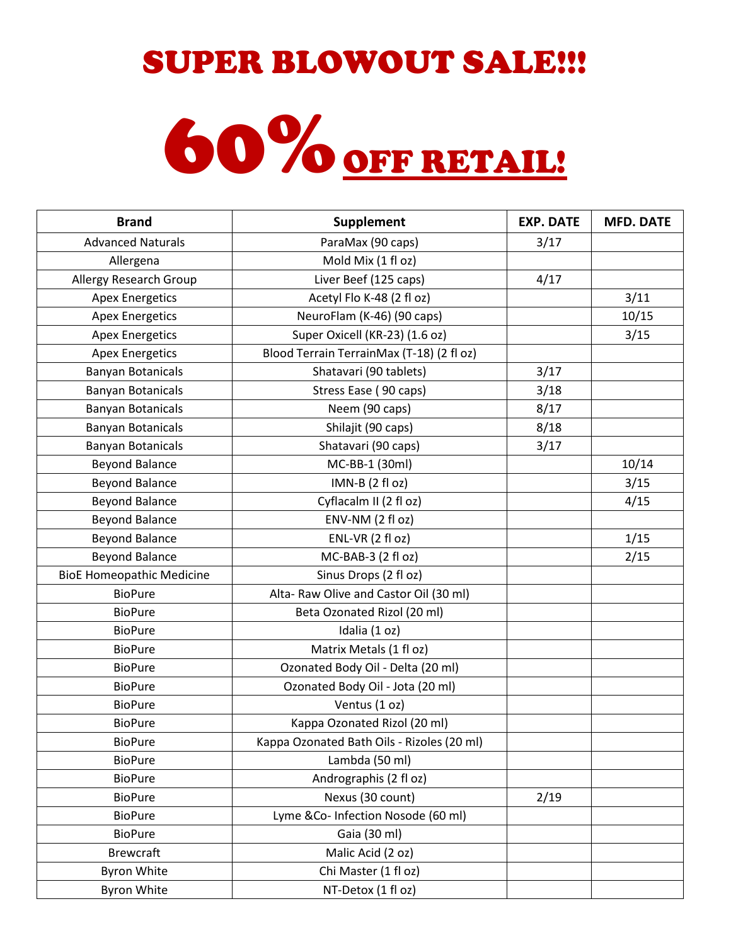## SUPER BLOWOUT SALE!!!

## 60% OFF RETAIL!

| <b>Brand</b>                     | Supplement                                 | <b>EXP. DATE</b> | <b>MFD. DATE</b> |
|----------------------------------|--------------------------------------------|------------------|------------------|
| <b>Advanced Naturals</b>         | ParaMax (90 caps)                          | 3/17             |                  |
| Allergena                        | Mold Mix (1 fl oz)                         |                  |                  |
| Allergy Research Group           | Liver Beef (125 caps)                      | 4/17             |                  |
| <b>Apex Energetics</b>           | Acetyl Flo K-48 (2 fl oz)                  |                  | 3/11             |
| <b>Apex Energetics</b>           | NeuroFlam (K-46) (90 caps)                 |                  | 10/15            |
| <b>Apex Energetics</b>           | Super Oxicell (KR-23) (1.6 oz)             |                  | 3/15             |
| <b>Apex Energetics</b>           | Blood Terrain TerrainMax (T-18) (2 fl oz)  |                  |                  |
| <b>Banyan Botanicals</b>         | Shatavari (90 tablets)                     | 3/17             |                  |
| <b>Banyan Botanicals</b>         | Stress Ease (90 caps)                      | 3/18             |                  |
| <b>Banyan Botanicals</b>         | Neem (90 caps)                             | 8/17             |                  |
| <b>Banyan Botanicals</b>         | Shilajit (90 caps)                         | 8/18             |                  |
| <b>Banyan Botanicals</b>         | Shatavari (90 caps)                        | 3/17             |                  |
| <b>Beyond Balance</b>            | MC-BB-1 (30ml)                             |                  | 10/14            |
| <b>Beyond Balance</b>            | IMN-B (2 fl oz)                            |                  | 3/15             |
| <b>Beyond Balance</b>            | Cyflacalm II (2 fl oz)                     |                  | 4/15             |
| <b>Beyond Balance</b>            | ENV-NM (2 fl oz)                           |                  |                  |
| <b>Beyond Balance</b>            | ENL-VR (2 fl oz)                           |                  | 1/15             |
| <b>Beyond Balance</b>            | MC-BAB-3 (2 fl oz)                         |                  | 2/15             |
| <b>BioE Homeopathic Medicine</b> | Sinus Drops (2 fl oz)                      |                  |                  |
| <b>BioPure</b>                   | Alta- Raw Olive and Castor Oil (30 ml)     |                  |                  |
| <b>BioPure</b>                   | Beta Ozonated Rizol (20 ml)                |                  |                  |
| <b>BioPure</b>                   | Idalia (1 oz)                              |                  |                  |
| <b>BioPure</b>                   | Matrix Metals (1 fl oz)                    |                  |                  |
| <b>BioPure</b>                   | Ozonated Body Oil - Delta (20 ml)          |                  |                  |
| <b>BioPure</b>                   | Ozonated Body Oil - Jota (20 ml)           |                  |                  |
| <b>BioPure</b>                   | Ventus (1 oz)                              |                  |                  |
| <b>BioPure</b>                   | Kappa Ozonated Rizol (20 ml)               |                  |                  |
| <b>BioPure</b>                   | Kappa Ozonated Bath Oils - Rizoles (20 ml) |                  |                  |
| <b>BioPure</b>                   | Lambda (50 ml)                             |                  |                  |
| <b>BioPure</b>                   | Andrographis (2 fl oz)                     |                  |                  |
| <b>BioPure</b>                   | Nexus (30 count)                           | 2/19             |                  |
| <b>BioPure</b>                   | Lyme &Co- Infection Nosode (60 ml)         |                  |                  |
| <b>BioPure</b>                   | Gaia (30 ml)                               |                  |                  |
| <b>Brewcraft</b>                 | Malic Acid (2 oz)                          |                  |                  |
| <b>Byron White</b>               | Chi Master (1 fl oz)                       |                  |                  |
| <b>Byron White</b>               | NT-Detox (1 fl oz)                         |                  |                  |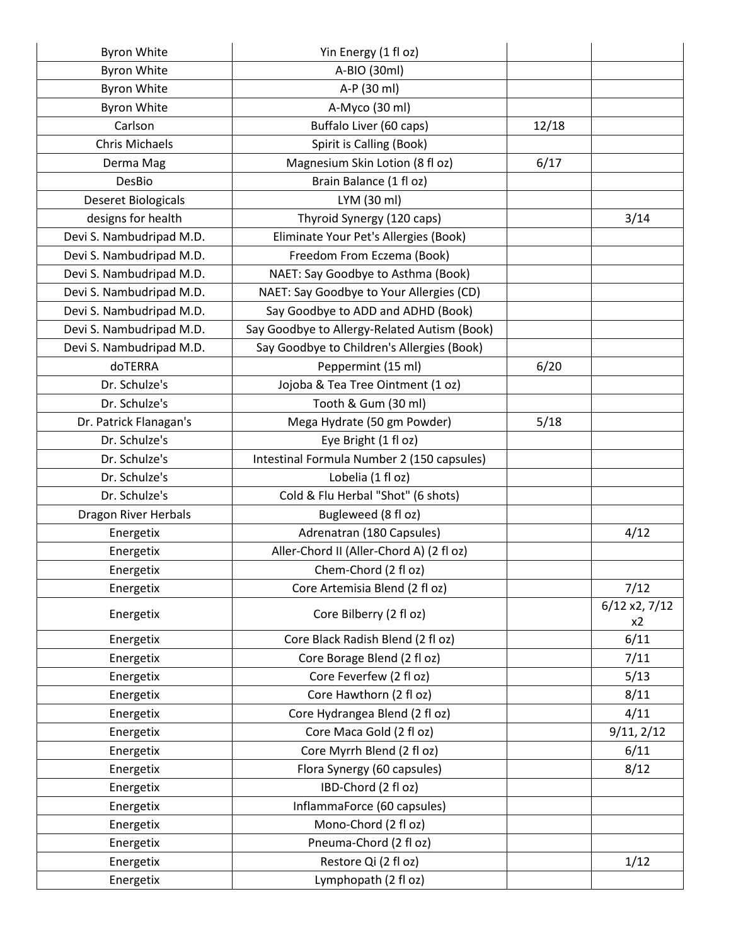| <b>Byron White</b>          | Yin Energy (1 fl oz)                         |       |                     |
|-----------------------------|----------------------------------------------|-------|---------------------|
| <b>Byron White</b>          | A-BIO (30ml)                                 |       |                     |
| <b>Byron White</b>          | A-P (30 ml)                                  |       |                     |
| <b>Byron White</b>          | A-Myco (30 ml)                               |       |                     |
| Carlson                     | Buffalo Liver (60 caps)                      | 12/18 |                     |
| <b>Chris Michaels</b>       | Spirit is Calling (Book)                     |       |                     |
| Derma Mag                   | Magnesium Skin Lotion (8 fl oz)              | 6/17  |                     |
| DesBio                      | Brain Balance (1 fl oz)                      |       |                     |
| <b>Deseret Biologicals</b>  | LYM (30 ml)                                  |       |                     |
| designs for health          | Thyroid Synergy (120 caps)                   |       | 3/14                |
| Devi S. Nambudripad M.D.    | Eliminate Your Pet's Allergies (Book)        |       |                     |
| Devi S. Nambudripad M.D.    | Freedom From Eczema (Book)                   |       |                     |
| Devi S. Nambudripad M.D.    | NAET: Say Goodbye to Asthma (Book)           |       |                     |
| Devi S. Nambudripad M.D.    | NAET: Say Goodbye to Your Allergies (CD)     |       |                     |
| Devi S. Nambudripad M.D.    | Say Goodbye to ADD and ADHD (Book)           |       |                     |
| Devi S. Nambudripad M.D.    | Say Goodbye to Allergy-Related Autism (Book) |       |                     |
| Devi S. Nambudripad M.D.    | Say Goodbye to Children's Allergies (Book)   |       |                     |
| doTERRA                     | Peppermint (15 ml)                           | 6/20  |                     |
| Dr. Schulze's               | Jojoba & Tea Tree Ointment (1 oz)            |       |                     |
| Dr. Schulze's               | Tooth & Gum (30 ml)                          |       |                     |
| Dr. Patrick Flanagan's      | Mega Hydrate (50 gm Powder)                  | 5/18  |                     |
| Dr. Schulze's               | Eye Bright (1 fl oz)                         |       |                     |
| Dr. Schulze's               | Intestinal Formula Number 2 (150 capsules)   |       |                     |
| Dr. Schulze's               | Lobelia (1 fl oz)                            |       |                     |
| Dr. Schulze's               | Cold & Flu Herbal "Shot" (6 shots)           |       |                     |
| <b>Dragon River Herbals</b> | Bugleweed (8 fl oz)                          |       |                     |
| Energetix                   | Adrenatran (180 Capsules)                    |       | 4/12                |
| Energetix                   | Aller-Chord II (Aller-Chord A) (2 fl oz)     |       |                     |
| Energetix                   | Chem-Chord (2 fl oz)                         |       |                     |
| Energetix                   | Core Artemisia Blend (2 fl oz)               |       | 7/12                |
| Energetix                   | Core Bilberry (2 fl oz)                      |       | 6/12 x2, 7/12<br>x2 |
| Energetix                   | Core Black Radish Blend (2 fl oz)            |       | 6/11                |
| Energetix                   | Core Borage Blend (2 fl oz)                  |       | 7/11                |
| Energetix                   | Core Feverfew (2 fl oz)                      |       | 5/13                |
| Energetix                   | Core Hawthorn (2 fl oz)                      |       | 8/11                |
| Energetix                   | Core Hydrangea Blend (2 fl oz)               |       | 4/11                |
| Energetix                   | Core Maca Gold (2 fl oz)                     |       | 9/11, 2/12          |
| Energetix                   | Core Myrrh Blend (2 fl oz)                   |       | 6/11                |
| Energetix                   | Flora Synergy (60 capsules)                  |       | 8/12                |
| Energetix                   | IBD-Chord (2 fl oz)                          |       |                     |
| Energetix                   | InflammaForce (60 capsules)                  |       |                     |
| Energetix                   | Mono-Chord (2 fl oz)                         |       |                     |
| Energetix                   | Pneuma-Chord (2 fl oz)                       |       |                     |
| Energetix                   | Restore Qi (2 fl oz)                         |       | 1/12                |
| Energetix                   | Lymphopath (2 fl oz)                         |       |                     |
|                             |                                              |       |                     |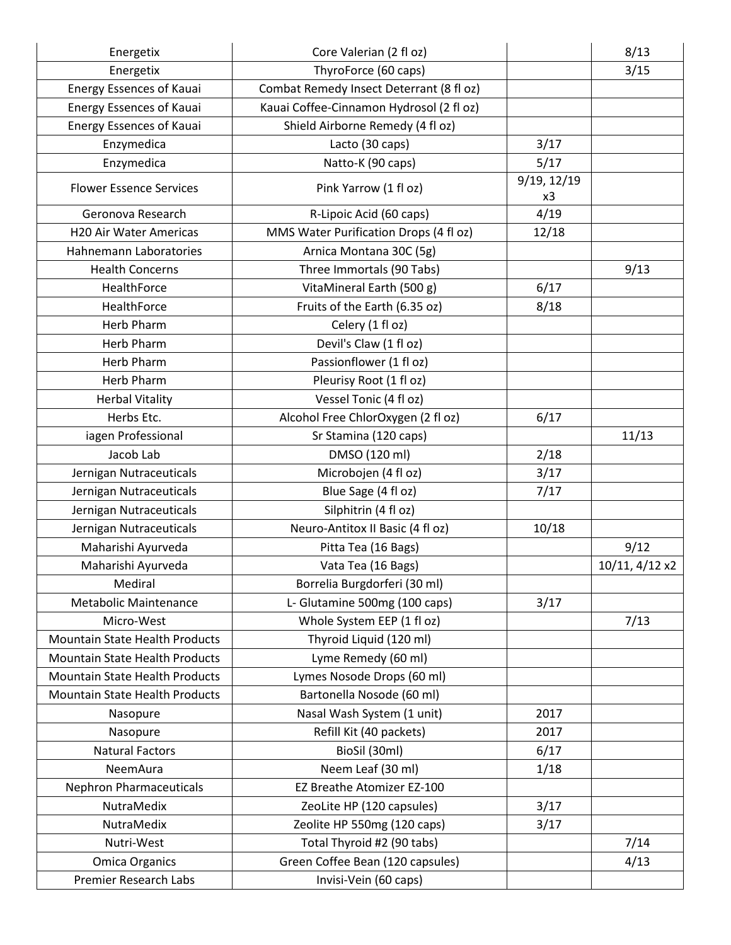| Energetix                             | Core Valerian (2 fl oz)                  |                   | 8/13           |
|---------------------------------------|------------------------------------------|-------------------|----------------|
| Energetix                             | ThyroForce (60 caps)                     |                   | 3/15           |
| <b>Energy Essences of Kauai</b>       | Combat Remedy Insect Deterrant (8 fl oz) |                   |                |
| <b>Energy Essences of Kauai</b>       | Kauai Coffee-Cinnamon Hydrosol (2 fl oz) |                   |                |
| <b>Energy Essences of Kauai</b>       | Shield Airborne Remedy (4 fl oz)         |                   |                |
| Enzymedica                            | Lacto (30 caps)                          | 3/17              |                |
| Enzymedica                            | Natto-K (90 caps)                        | 5/17              |                |
| <b>Flower Essence Services</b>        | Pink Yarrow (1 fl oz)                    | 9/19, 12/19<br>x3 |                |
| Geronova Research                     | R-Lipoic Acid (60 caps)                  | 4/19              |                |
| H20 Air Water Americas                | MMS Water Purification Drops (4 fl oz)   | 12/18             |                |
| <b>Hahnemann Laboratories</b>         | Arnica Montana 30C (5g)                  |                   |                |
| <b>Health Concerns</b>                | Three Immortals (90 Tabs)                |                   | 9/13           |
| HealthForce                           | VitaMineral Earth (500 g)                | 6/17              |                |
| HealthForce                           | Fruits of the Earth (6.35 oz)            | 8/18              |                |
| <b>Herb Pharm</b>                     | Celery (1 fl oz)                         |                   |                |
| <b>Herb Pharm</b>                     | Devil's Claw (1 fl oz)                   |                   |                |
| <b>Herb Pharm</b>                     | Passionflower (1 fl oz)                  |                   |                |
| <b>Herb Pharm</b>                     | Pleurisy Root (1 fl oz)                  |                   |                |
| <b>Herbal Vitality</b>                | Vessel Tonic (4 fl oz)                   |                   |                |
| Herbs Etc.                            | Alcohol Free ChlorOxygen (2 fl oz)       | 6/17              |                |
| iagen Professional                    | Sr Stamina (120 caps)                    |                   | 11/13          |
| Jacob Lab                             | DMSO (120 ml)                            | 2/18              |                |
| Jernigan Nutraceuticals               | Microbojen (4 fl oz)                     | 3/17              |                |
| Jernigan Nutraceuticals               | Blue Sage (4 fl oz)                      | 7/17              |                |
| Jernigan Nutraceuticals               | Silphitrin (4 fl oz)                     |                   |                |
| Jernigan Nutraceuticals               | Neuro-Antitox II Basic (4 fl oz)         | 10/18             |                |
| Maharishi Ayurveda                    | Pitta Tea (16 Bags)                      |                   | 9/12           |
| Maharishi Ayurveda                    | Vata Tea (16 Bags)                       |                   | 10/11, 4/12 x2 |
| Mediral                               | Borrelia Burgdorferi (30 ml)             |                   |                |
| <b>Metabolic Maintenance</b>          | L- Glutamine 500mg (100 caps)            | 3/17              |                |
| Micro-West                            | Whole System EEP (1 fl oz)               |                   | 7/13           |
| <b>Mountain State Health Products</b> | Thyroid Liquid (120 ml)                  |                   |                |
| Mountain State Health Products        | Lyme Remedy (60 ml)                      |                   |                |
| Mountain State Health Products        | Lymes Nosode Drops (60 ml)               |                   |                |
| <b>Mountain State Health Products</b> | Bartonella Nosode (60 ml)                |                   |                |
| Nasopure                              | Nasal Wash System (1 unit)               | 2017              |                |
| Nasopure                              | Refill Kit (40 packets)                  | 2017              |                |
| <b>Natural Factors</b>                | BioSil (30ml)                            | 6/17              |                |
| NeemAura                              | Neem Leaf (30 ml)                        | 1/18              |                |
| <b>Nephron Pharmaceuticals</b>        | EZ Breathe Atomizer EZ-100               |                   |                |
| NutraMedix                            | ZeoLite HP (120 capsules)                | 3/17              |                |
| NutraMedix                            | Zeolite HP 550mg (120 caps)              | 3/17              |                |
| Nutri-West                            | Total Thyroid #2 (90 tabs)               |                   | 7/14           |
| <b>Omica Organics</b>                 | Green Coffee Bean (120 capsules)         |                   | 4/13           |
| <b>Premier Research Labs</b>          | Invisi-Vein (60 caps)                    |                   |                |